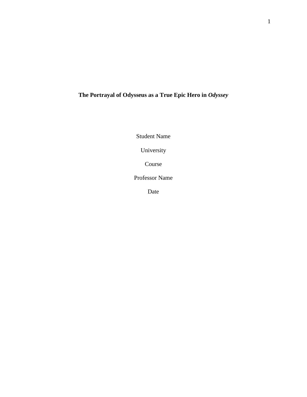# **The Portrayal of Odysseus as a True Epic Hero in** *Odyssey*

Student Name

University

Course

Professor Name

Date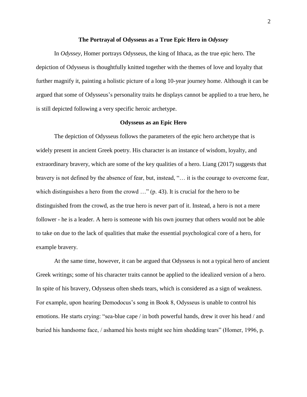#### **The Portrayal of Odysseus as a True Epic Hero in** *Odyssey*

In *Odyssey*, Homer portrays Odysseus, the king of Ithaca, as the true epic hero. The depiction of Odysseus is thoughtfully knitted together with the themes of love and loyalty that further magnify it, painting a holistic picture of a long 10-year journey home. Although it can be argued that some of Odysseus's personality traits he displays cannot be applied to a true hero, he is still depicted following a very specific heroic archetype.

### **Odysseus as an Epic Hero**

The depiction of Odysseus follows the parameters of the epic hero archetype that is widely present in ancient Greek poetry. His character is an instance of wisdom, loyalty, and extraordinary bravery, which are some of the key qualities of a hero. Liang (2017) suggests that bravery is not defined by the absence of fear, but, instead, "… it is the courage to overcome fear, which distinguishes a hero from the crowd ..." (p. 43). It is crucial for the hero to be distinguished from the crowd, as the true hero is never part of it. Instead, a hero is not a mere follower - he is a leader. A hero is someone with his own journey that others would not be able to take on due to the lack of qualities that make the essential psychological core of a hero, for example bravery.

At the same time, however, it can be argued that Odysseus is not a typical hero of ancient Greek writings; some of his character traits cannot be applied to the idealized version of a hero. In spite of his bravery, Odysseus often sheds tears, which is considered as a sign of weakness. For example, upon hearing Demodocus's song in Book 8, Odysseus is unable to control his emotions. He starts crying: "sea-blue cape / in both powerful hands, drew it over his head / and buried his handsome face, / ashamed his hosts might see him shedding tears" (Homer, 1996, p.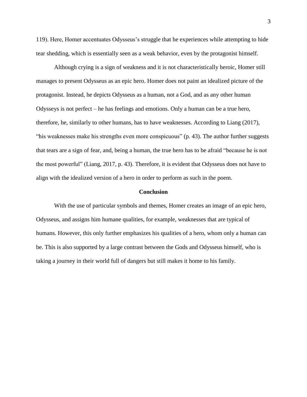119). Here, Homer accentuates Odysseus's struggle that he experiences while attempting to hide tear shedding, which is essentially seen as a weak behavior, even by the protagonist himself.

Although crying is a sign of weakness and it is not characteristically heroic, Homer still manages to present Odysseus as an epic hero. Homer does not paint an idealized picture of the protagonist. Instead, he depicts Odysseus as a human, not a God, and as any other human Odysseys is not perfect – he has feelings and emotions. Only a human can be a true hero, therefore, he, similarly to other humans, has to have weaknesses. According to Liang (2017), "his weaknesses make his strengths even more conspicuous" (p. 43). The author further suggests that tears are a sign of fear, and, being a human, the true hero has to be afraid "because he is not the most powerful" (Liang, 2017, p. 43). Therefore, it is evident that Odysseus does not have to align with the idealized version of a hero in order to perform as such in the poem.

#### **Conclusion**

With the use of particular symbols and themes, Homer creates an image of an epic hero, Odysseus, and assigns him humane qualities, for example, weaknesses that are typical of humans. However, this only further emphasizes his qualities of a hero, whom only a human can be. This is also supported by a large contrast between the Gods and Odysseus himself, who is taking a journey in their world full of dangers but still makes it home to his family.